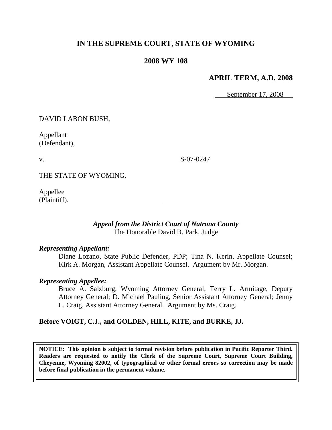# **IN THE SUPREME COURT, STATE OF WYOMING**

### **2008 WY 108**

### **APRIL TERM, A.D. 2008**

September 17, 2008

DAVID LABON BUSH,

Appellant (Defendant),

v.

S-07-0247

THE STATE OF WYOMING,

Appellee (Plaintiff).

### *Appeal from the District Court of Natrona County* The Honorable David B. Park, Judge

#### *Representing Appellant:*

Diane Lozano, State Public Defender, PDP; Tina N. Kerin, Appellate Counsel; Kirk A. Morgan, Assistant Appellate Counsel. Argument by Mr. Morgan.

#### *Representing Appellee:*

Bruce A. Salzburg, Wyoming Attorney General; Terry L. Armitage, Deputy Attorney General; D. Michael Pauling, Senior Assistant Attorney General; Jenny L. Craig, Assistant Attorney General. Argument by Ms. Craig.

### **Before VOIGT, C.J., and GOLDEN, HILL, KITE, and BURKE, JJ.**

**NOTICE: This opinion is subject to formal revision before publication in Pacific Reporter Third. Readers are requested to notify the Clerk of the Supreme Court, Supreme Court Building, Cheyenne, Wyoming 82002, of typographical or other formal errors so correction may be made before final publication in the permanent volume.**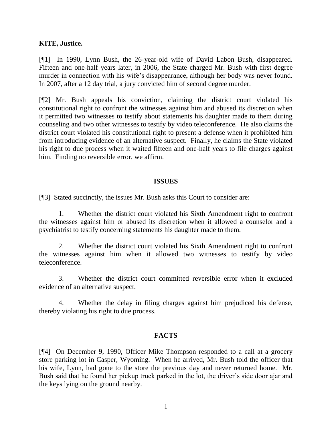### **KITE, Justice.**

[¶1] In 1990, Lynn Bush, the 26-year-old wife of David Labon Bush, disappeared. Fifteen and one-half years later, in 2006, the State charged Mr. Bush with first degree murder in connection with his wife's disappearance, although her body was never found. In 2007, after a 12 day trial, a jury convicted him of second degree murder.

[¶2] Mr. Bush appeals his conviction, claiming the district court violated his constitutional right to confront the witnesses against him and abused its discretion when it permitted two witnesses to testify about statements his daughter made to them during counseling and two other witnesses to testify by video teleconference. He also claims the district court violated his constitutional right to present a defense when it prohibited him from introducing evidence of an alternative suspect. Finally, he claims the State violated his right to due process when it waited fifteen and one-half years to file charges against him. Finding no reversible error, we affirm.

#### **ISSUES**

[¶3] Stated succinctly, the issues Mr. Bush asks this Court to consider are:

1. Whether the district court violated his Sixth Amendment right to confront the witnesses against him or abused its discretion when it allowed a counselor and a psychiatrist to testify concerning statements his daughter made to them.

2. Whether the district court violated his Sixth Amendment right to confront the witnesses against him when it allowed two witnesses to testify by video teleconference.

3. Whether the district court committed reversible error when it excluded evidence of an alternative suspect.

4. Whether the delay in filing charges against him prejudiced his defense, thereby violating his right to due process.

### **FACTS**

[¶4] On December 9, 1990, Officer Mike Thompson responded to a call at a grocery store parking lot in Casper, Wyoming. When he arrived, Mr. Bush told the officer that his wife, Lynn, had gone to the store the previous day and never returned home. Mr. Bush said that he found her pickup truck parked in the lot, the driver's side door ajar and the keys lying on the ground nearby.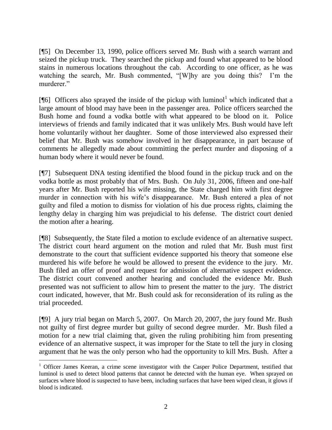[¶5] On December 13, 1990, police officers served Mr. Bush with a search warrant and seized the pickup truck. They searched the pickup and found what appeared to be blood stains in numerous locations throughout the cab. According to one officer, as he was watching the search, Mr. Bush commented,  $\frac{W}{hy}$  are you doing this? I'm the murderer."

[ $[$ 6] Officers also sprayed the inside of the pickup with luminol<sup>1</sup> which indicated that a large amount of blood may have been in the passenger area. Police officers searched the Bush home and found a vodka bottle with what appeared to be blood on it. Police interviews of friends and family indicated that it was unlikely Mrs. Bush would have left home voluntarily without her daughter. Some of those interviewed also expressed their belief that Mr. Bush was somehow involved in her disappearance, in part because of comments he allegedly made about committing the perfect murder and disposing of a human body where it would never be found.

[¶7] Subsequent DNA testing identified the blood found in the pickup truck and on the vodka bottle as most probably that of Mrs. Bush. On July 31, 2006, fifteen and one-half years after Mr. Bush reported his wife missing, the State charged him with first degree murder in connection with his wife's disappearance. Mr. Bush entered a plea of not guilty and filed a motion to dismiss for violation of his due process rights, claiming the lengthy delay in charging him was prejudicial to his defense. The district court denied the motion after a hearing.

[¶8] Subsequently, the State filed a motion to exclude evidence of an alternative suspect. The district court heard argument on the motion and ruled that Mr. Bush must first demonstrate to the court that sufficient evidence supported his theory that someone else murdered his wife before he would be allowed to present the evidence to the jury. Mr. Bush filed an offer of proof and request for admission of alternative suspect evidence. The district court convened another hearing and concluded the evidence Mr. Bush presented was not sufficient to allow him to present the matter to the jury. The district court indicated, however, that Mr. Bush could ask for reconsideration of its ruling as the trial proceeded.

[¶9] A jury trial began on March 5, 2007. On March 20, 2007, the jury found Mr. Bush not guilty of first degree murder but guilty of second degree murder. Mr. Bush filed a motion for a new trial claiming that, given the ruling prohibiting him from presenting evidence of an alternative suspect, it was improper for the State to tell the jury in closing argument that he was the only person who had the opportunity to kill Mrs. Bush. After a

<sup>&</sup>lt;sup>1</sup> Officer James Keeran, a crime scene investigator with the Casper Police Department, testified that luminol is used to detect blood patterns that cannot be detected with the human eye. When sprayed on surfaces where blood is suspected to have been, including surfaces that have been wiped clean, it glows if blood is indicated.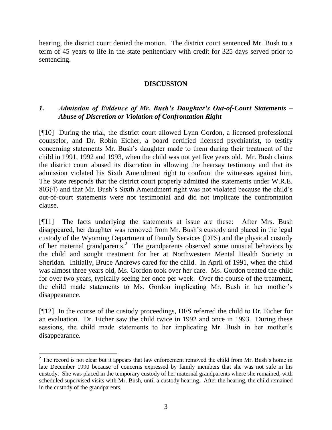hearing, the district court denied the motion. The district court sentenced Mr. Bush to a term of 45 years to life in the state penitentiary with credit for 325 days served prior to sentencing.

### **DISCUSSION**

## *1. Admission of Evidence of Mr. Bush's Daughter's Out-of-Court Statements – Abuse of Discretion or Violation of Confrontation Right*

[¶10] During the trial, the district court allowed Lynn Gordon, a licensed professional counselor, and Dr. Robin Eicher, a board certified licensed psychiatrist, to testify concerning statements Mr. Bush's daughter made to them during their treatment of the child in 1991, 1992 and 1993, when the child was not yet five years old. Mr. Bush claims the district court abused its discretion in allowing the hearsay testimony and that its admission violated his Sixth Amendment right to confront the witnesses against him. The State responds that the district court properly admitted the statements under W.R.E. 803(4) and that Mr. Bush's Sixth Amendment right was not violated because the child's out-of-court statements were not testimonial and did not implicate the confrontation clause.

[¶11] The facts underlying the statements at issue are these: After Mrs. Bush disappeared, her daughter was removed from Mr. Bush's custody and placed in the legal custody of the Wyoming Department of Family Services (DFS) and the physical custody of her maternal grandparents.<sup>2</sup> The grandparents observed some unusual behaviors by the child and sought treatment for her at Northwestern Mental Health Society in Sheridan. Initially, Bruce Andrews cared for the child. In April of 1991, when the child was almost three years old, Ms. Gordon took over her care. Ms. Gordon treated the child for over two years, typically seeing her once per week. Over the course of the treatment, the child made statements to Ms. Gordon implicating Mr. Bush in her mother's disappearance.

[¶12] In the course of the custody proceedings, DFS referred the child to Dr. Eicher for an evaluation. Dr. Eicher saw the child twice in 1992 and once in 1993. During these sessions, the child made statements to her implicating Mr. Bush in her mother's disappearance.

 $2$  The record is not clear but it appears that law enforcement removed the child from Mr. Bush's home in late December 1990 because of concerns expressed by family members that she was not safe in his custody. She was placed in the temporary custody of her maternal grandparents where she remained, with scheduled supervised visits with Mr. Bush, until a custody hearing. After the hearing, the child remained in the custody of the grandparents.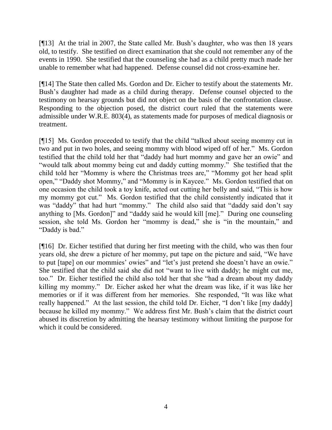[¶13] At the trial in 2007, the State called Mr. Bush's daughter, who was then 18 years old, to testify. She testified on direct examination that she could not remember any of the events in 1990. She testified that the counseling she had as a child pretty much made her unable to remember what had happened. Defense counsel did not cross-examine her.

[¶14] The State then called Ms. Gordon and Dr. Eicher to testify about the statements Mr. Bush's daughter had made as a child during therapy. Defense counsel objected to the testimony on hearsay grounds but did not object on the basis of the confrontation clause. Responding to the objection posed, the district court ruled that the statements were admissible under W.R.E. 803(4), as statements made for purposes of medical diagnosis or treatment.

 $[915]$  Ms. Gordon proceeded to testify that the child "talked about seeing mommy cut in two and put in two holes, and seeing mommy with blood wiped off of her." Ms. Gordon testified that the child told her that "daddy had hurt mommy and gave her an owie" and ―would talk about mommy being cut and daddy cutting mommy.‖ She testified that the child told her "Mommy is where the Christmas trees are," "Mommy got her head split open," "Daddy shot Mommy," and "Mommy is in Kaycee." Ms. Gordon testified that on one occasion the child took a toy knife, acted out cutting her belly and said, "This is how my mommy got cut." Ms. Gordon testified that the child consistently indicated that it was "daddy" that had hurt "mommy." The child also said that "daddy said don't say anything to  $[Ms. Gordon]'$  and "daddy said he would kill  $[me]$ ." During one counseling session, she told Ms. Gordon her "mommy is dead," she is "in the mountain," and "Daddy is bad."

[¶16] Dr. Eicher testified that during her first meeting with the child, who was then four years old, she drew a picture of her mommy, put tape on the picture and said, "We have to put [tape] on our mommies' owies" and "let's just pretend she doesn't have an owie." She testified that the child said she did not "want to live with daddy; he might cut me, too." Dr. Eicher testified the child also told her that she "had a dream about my daddy killing my mommy." Dr. Eicher asked her what the dream was like, if it was like her memories or if it was different from her memories. She responded, "It was like what really happened." At the last session, the child told Dr. Eicher, "I don't like [my daddy] because he killed my mommy." We address first Mr. Bush's claim that the district court abused its discretion by admitting the hearsay testimony without limiting the purpose for which it could be considered.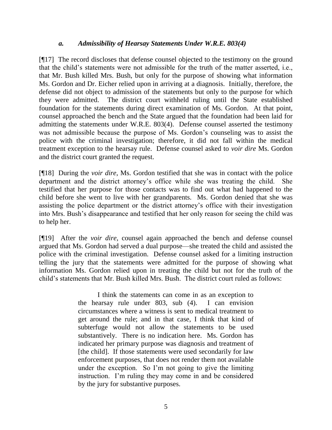#### *a. Admissibility of Hearsay Statements Under W.R.E. 803(4)*

[¶17] The record discloses that defense counsel objected to the testimony on the ground that the child's statements were not admissible for the truth of the matter asserted, i.e., that Mr. Bush killed Mrs. Bush, but only for the purpose of showing what information Ms. Gordon and Dr. Eicher relied upon in arriving at a diagnosis. Initially, therefore, the defense did not object to admission of the statements but only to the purpose for which they were admitted. The district court withheld ruling until the State established foundation for the statements during direct examination of Ms. Gordon. At that point, counsel approached the bench and the State argued that the foundation had been laid for admitting the statements under W.R.E. 803(4). Defense counsel asserted the testimony was not admissible because the purpose of Ms. Gordon's counseling was to assist the police with the criminal investigation; therefore, it did not fall within the medical treatment exception to the hearsay rule. Defense counsel asked to *voir dire* Ms. Gordon and the district court granted the request.

[¶18] During the *voir dire*, Ms. Gordon testified that she was in contact with the police department and the district attorney's office while she was treating the child. She testified that her purpose for those contacts was to find out what had happened to the child before she went to live with her grandparents. Ms. Gordon denied that she was assisting the police department or the district attorney's office with their investigation into Mrs. Bush's disappearance and testified that her only reason for seeing the child was to help her.

[¶19] After the *voir dire*, counsel again approached the bench and defense counsel argued that Ms. Gordon had served a dual purpose—she treated the child and assisted the police with the criminal investigation. Defense counsel asked for a limiting instruction telling the jury that the statements were admitted for the purpose of showing what information Ms. Gordon relied upon in treating the child but not for the truth of the child's statements that Mr. Bush killed Mrs. Bush. The district court ruled as follows:

> I think the statements can come in as an exception to the hearsay rule under 803, sub (4). I can envision circumstances where a witness is sent to medical treatment to get around the rule; and in that case, I think that kind of subterfuge would not allow the statements to be used substantively. There is no indication here. Ms. Gordon has indicated her primary purpose was diagnosis and treatment of [the child]. If those statements were used secondarily for law enforcement purposes, that does not render them not available under the exception. So I'm not going to give the limiting instruction. I'm ruling they may come in and be considered by the jury for substantive purposes.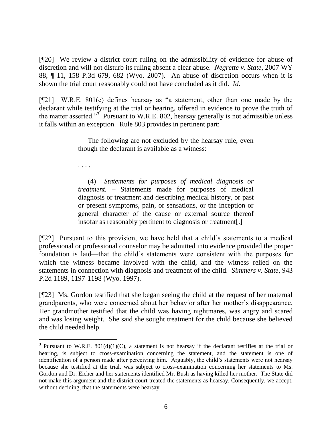[¶20] We review a district court ruling on the admissibility of evidence for abuse of discretion and will not disturb its ruling absent a clear abuse. *Negrette v. State*, 2007 WY 88, ¶ 11, 158 P.3d 679, 682 (Wyo. 2007). An abuse of discretion occurs when it is shown the trial court reasonably could not have concluded as it did. *Id*.

 $[$ [[21] W.R.E. 801(c) defines hearsay as "a statement, other than one made by the declarant while testifying at the trial or hearing, offered in evidence to prove the truth of the matter asserted."<sup>3</sup> Pursuant to W.R.E. 802, hearsay generally is not admissible unless it falls within an exception. Rule 803 provides in pertinent part:

> The following are not excluded by the hearsay rule, even though the declarant is available as a witness:

. . . .

(4) *Statements for purposes of medical diagnosis or treatment.* – Statements made for purposes of medical diagnosis or treatment and describing medical history, or past or present symptoms, pain, or sensations, or the inception or general character of the cause or external source thereof insofar as reasonably pertinent to diagnosis or treatment[.]

[¶22] Pursuant to this provision, we have held that a child's statements to a medical professional or professional counselor may be admitted into evidence provided the proper foundation is laid—that the child's statements were consistent with the purposes for which the witness became involved with the child, and the witness relied on the statements in connection with diagnosis and treatment of the child. *Simmers v. State*, 943 P.2d 1189, 1197-1198 (Wyo. 1997).

[¶23] Ms. Gordon testified that she began seeing the child at the request of her maternal grandparents, who were concerned about her behavior after her mother's disappearance. Her grandmother testified that the child was having nightmares, was angry and scared and was losing weight. She said she sought treatment for the child because she believed the child needed help.

<sup>&</sup>lt;sup>3</sup> Pursuant to W.R.E. 801(d)(1)(C), a statement is not hearsay if the declarant testifies at the trial or hearing, is subject to cross-examination concerning the statement, and the statement is one of identification of a person made after perceiving him. Arguably, the child's statements were not hearsay because she testified at the trial, was subject to cross-examination concerning her statements to Ms. Gordon and Dr. Eicher and her statements identified Mr. Bush as having killed her mother. The State did not make this argument and the district court treated the statements as hearsay. Consequently, we accept, without deciding, that the statements were hearsay.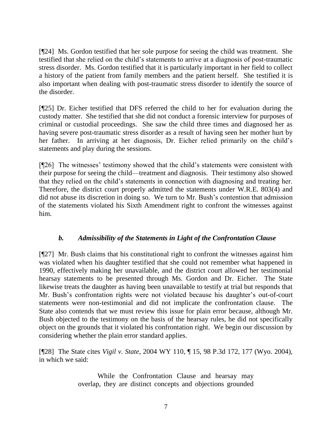[¶24] Ms. Gordon testified that her sole purpose for seeing the child was treatment. She testified that she relied on the child's statements to arrive at a diagnosis of post-traumatic stress disorder. Ms. Gordon testified that it is particularly important in her field to collect a history of the patient from family members and the patient herself. She testified it is also important when dealing with post-traumatic stress disorder to identify the source of the disorder.

[¶25] Dr. Eicher testified that DFS referred the child to her for evaluation during the custody matter. She testified that she did not conduct a forensic interview for purposes of criminal or custodial proceedings. She saw the child three times and diagnosed her as having severe post-traumatic stress disorder as a result of having seen her mother hurt by her father. In arriving at her diagnosis, Dr. Eicher relied primarily on the child's statements and play during the sessions.

[¶26] The witnesses' testimony showed that the child's statements were consistent with their purpose for seeing the child—treatment and diagnosis. Their testimony also showed that they relied on the child's statements in connection with diagnosing and treating her. Therefore, the district court properly admitted the statements under W.R.E. 803(4) and did not abuse its discretion in doing so. We turn to Mr. Bush's contention that admission of the statements violated his Sixth Amendment right to confront the witnesses against him.

# *b. Admissibility of the Statements in Light of the Confrontation Clause*

[¶27] Mr. Bush claims that his constitutional right to confront the witnesses against him was violated when his daughter testified that she could not remember what happened in 1990, effectively making her unavailable, and the district court allowed her testimonial hearsay statements to be presented through Ms. Gordon and Dr. Eicher. The State likewise treats the daughter as having been unavailable to testify at trial but responds that Mr. Bush's confrontation rights were not violated because his daughter's out-of-court statements were non-testimonial and did not implicate the confrontation clause. The State also contends that we must review this issue for plain error because, although Mr. Bush objected to the testimony on the basis of the hearsay rules, he did not specifically object on the grounds that it violated his confrontation right. We begin our discussion by considering whether the plain error standard applies.

[¶28] The State cites *Vigil v. State*, 2004 WY 110, ¶ 15, 98 P.3d 172, 177 (Wyo. 2004), in which we said:

> While the Confrontation Clause and hearsay may overlap, they are distinct concepts and objections grounded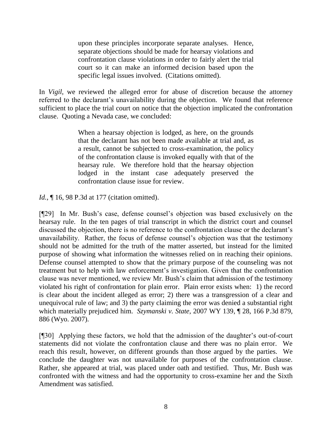upon these principles incorporate separate analyses. Hence, separate objections should be made for hearsay violations and confrontation clause violations in order to fairly alert the trial court so it can make an informed decision based upon the specific legal issues involved. (Citations omitted).

In *Vigil*, we reviewed the alleged error for abuse of discretion because the attorney referred to the declarant's unavailability during the objection. We found that reference sufficient to place the trial court on notice that the objection implicated the confrontation clause. Quoting a Nevada case, we concluded:

> When a hearsay objection is lodged, as here, on the grounds that the declarant has not been made available at trial and, as a result, cannot be subjected to cross-examination, the policy of the confrontation clause is invoked equally with that of the hearsay rule. We therefore hold that the hearsay objection lodged in the instant case adequately preserved the confrontation clause issue for review.

*Id.*, ¶ 16, 98 P.3d at 177 (citation omitted).

[¶29] In Mr. Bush's case, defense counsel's objection was based exclusively on the hearsay rule. In the ten pages of trial transcript in which the district court and counsel discussed the objection, there is no reference to the confrontation clause or the declarant's unavailability. Rather, the focus of defense counsel's objection was that the testimony should not be admitted for the truth of the matter asserted, but instead for the limited purpose of showing what information the witnesses relied on in reaching their opinions. Defense counsel attempted to show that the primary purpose of the counseling was not treatment but to help with law enforcement's investigation. Given that the confrontation clause was never mentioned, we review Mr. Bush's claim that admission of the testimony violated his right of confrontation for plain error. Plain error exists when: 1) the record is clear about the incident alleged as error; 2) there was a transgression of a clear and unequivocal rule of law; and 3) the party claiming the error was denied a substantial right which materially prejudiced him. *Szymanski v. State*, 2007 WY 139, ¶ 28, 166 P.3d 879, 886 (Wyo. 2007).

[¶30] Applying these factors, we hold that the admission of the daughter's out-of-court statements did not violate the confrontation clause and there was no plain error. We reach this result, however, on different grounds than those argued by the parties. We conclude the daughter was not unavailable for purposes of the confrontation clause. Rather, she appeared at trial, was placed under oath and testified. Thus, Mr. Bush was confronted with the witness and had the opportunity to cross-examine her and the Sixth Amendment was satisfied.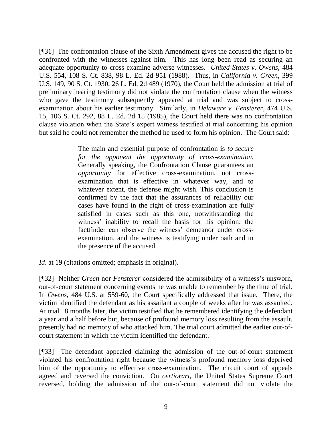[¶31] The confrontation clause of the Sixth Amendment gives the accused the right to be confronted with the witnesses against him. This has long been read as securing an adequate opportunity to cross-examine adverse witnesses. *United States v. Owens,* 484 U.S. 554, 108 S. Ct. 838, 98 L. Ed. 2d 951 (1988). Thus, in *California v. Green*, 399 U.S. 149, 90 S. Ct. 1930, 26 L. Ed. 2d 489 (1970), the Court held the admission at trial of preliminary hearing testimony did not violate the confrontation clause when the witness who gave the testimony subsequently appeared at trial and was subject to crossexamination about his earlier testimony. Similarly, in *Delaware v. Fensterer*, 474 U.S. 15, 106 S. Ct. 292, 88 L. Ed. 2d 15 (1985), the Court held there was no confrontation clause violation when the State's expert witness testified at trial concerning his opinion but said he could not remember the method he used to form his opinion. The Court said:

> The main and essential purpose of confrontation is *to secure for the opponent the opportunity of cross-examination.*  Generally speaking, the Confrontation Clause guarantees an *opportunity* for effective cross-examination, not crossexamination that is effective in whatever way, and to whatever extent, the defense might wish. This conclusion is confirmed by the fact that the assurances of reliability our cases have found in the right of cross-examination are fully satisfied in cases such as this one, notwithstanding the witness' inability to recall the basis for his opinion: the factfinder can observe the witness' demeanor under crossexamination, and the witness is testifying under oath and in the presence of the accused.

*Id.* at 19 (citations omitted; emphasis in original).

[¶32] Neither *Green* nor *Fensterer* considered the admissibility of a witness's unsworn, out-of-court statement concerning events he was unable to remember by the time of trial. In *Owens*, 484 U.S. at 559-60, the Court specifically addressed that issue. There, the victim identified the defendant as his assailant a couple of weeks after he was assaulted. At trial 18 months later, the victim testified that he remembered identifying the defendant a year and a half before but, because of profound memory loss resulting from the assault, presently had no memory of who attacked him. The trial court admitted the earlier out-ofcourt statement in which the victim identified the defendant.

[¶33] The defendant appealed claiming the admission of the out-of-court statement violated his confrontation right because the witness's profound memory loss deprived him of the opportunity to effective cross-examination. The circuit court of appeals agreed and reversed the conviction. On *certiorari*, the United States Supreme Court reversed, holding the admission of the out-of-court statement did not violate the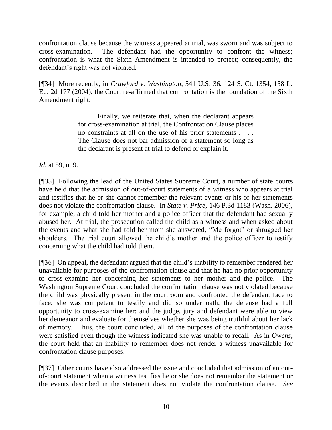confrontation clause because the witness appeared at trial, was sworn and was subject to cross-examination. The defendant had the opportunity to confront the witness; confrontation is what the Sixth Amendment is intended to protect; consequently, the defendant's right was not violated.

[¶34] More recently, in *Crawford v. Washington*, 541 U.S. 36, 124 S. Ct. 1354, 158 L. Ed. 2d 177 (2004), the Court re-affirmed that confrontation is the foundation of the Sixth Amendment right:

> Finally, we reiterate that, when the declarant appears for cross-examination at trial, the Confrontation Clause places no constraints at all on the use of his prior statements . . . . The Clause does not bar admission of a statement so long as the declarant is present at trial to defend or explain it.

*Id.* at 59, n. 9.

[¶35] Following the lead of the United States Supreme Court, a number of state courts have held that the admission of out-of-court statements of a witness who appears at trial and testifies that he or she cannot remember the relevant events or his or her statements does not violate the confrontation clause. In *State v. Price*, 146 P.3d 1183 (Wash. 2006), for example, a child told her mother and a police officer that the defendant had sexually abused her. At trial, the prosecution called the child as a witness and when asked about the events and what she had told her mom she answered, "Me forgot" or shrugged her shoulders. The trial court allowed the child's mother and the police officer to testify concerning what the child had told them.

[¶36] On appeal, the defendant argued that the child's inability to remember rendered her unavailable for purposes of the confrontation clause and that he had no prior opportunity to cross-examine her concerning her statements to her mother and the police. The Washington Supreme Court concluded the confrontation clause was not violated because the child was physically present in the courtroom and confronted the defendant face to face; she was competent to testify and did so under oath; the defense had a full opportunity to cross-examine her; and the judge, jury and defendant were able to view her demeanor and evaluate for themselves whether she was being truthful about her lack of memory. Thus, the court concluded, all of the purposes of the confrontation clause were satisfied even though the witness indicated she was unable to recall. As in *Owens*, the court held that an inability to remember does not render a witness unavailable for confrontation clause purposes.

[¶37] Other courts have also addressed the issue and concluded that admission of an outof-court statement when a witness testifies he or she does not remember the statement or the events described in the statement does not violate the confrontation clause. *See*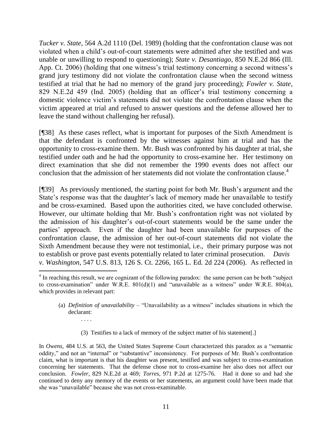*Tucker v. State*, 564 A.2d 1110 (Del. 1989) (holding that the confrontation clause was not violated when a child's out-of-court statements were admitted after she testified and was unable or unwilling to respond to questioning); *State v. Desantiago*, 850 N.E.2d 866 (Ill. App. Ct. 2006) (holding that one witness's trial testimony concerning a second witness's grand jury testimony did not violate the confrontation clause when the second witness testified at trial that he had no memory of the grand jury proceeding); *Fowler v. State*, 829 N.E.2d 459 (Ind. 2005) (holding that an officer's trial testimony concerning a domestic violence victim's statements did not violate the confrontation clause when the victim appeared at trial and refused to answer questions and the defense allowed her to leave the stand without challenging her refusal).

[¶38] As these cases reflect, what is important for purposes of the Sixth Amendment is that the defendant is confronted by the witnesses against him at trial and has the opportunity to cross-examine them. Mr. Bush was confronted by his daughter at trial, she testified under oath and he had the opportunity to cross-examine her. Her testimony on direct examination that she did not remember the 1990 events does not affect our conclusion that the admission of her statements did not violate the confrontation clause.<sup>4</sup>

[¶39] As previously mentioned, the starting point for both Mr. Bush's argument and the State's response was that the daughter's lack of memory made her unavailable to testify and be cross-examined. Based upon the authorities cited, we have concluded otherwise. However, our ultimate holding that Mr. Bush's confrontation right was not violated by the admission of his daughter's out-of-court statements would be the same under the parties' approach. Even if the daughter had been unavailable for purposes of the confrontation clause, the admission of her out-of-court statements did not violate the Sixth Amendment because they were not testimonial, i.e., their primary purpose was not to establish or prove past events potentially related to later criminal prosecution. *Davis v. Washington*, 547 U.S. 813, 126 S. Ct. 2266, 165 L. Ed. 2d 224 (2006). As reflected in

- (a) *Definition of unavailability* "Unavailability as a witness" includes situations in which the declarant:
	- . . . .

l

(3) Testifies to a lack of memory of the subject matter of his statement[.]

In *Owens*, 484 U.S. at 563, the United States Supreme Court characterized this paradox as a "semantic oddity," and not an "internal" or "substantive" inconsistency. For purposes of Mr. Bush's confrontation claim, what is important is that his daughter was present, testified and was subject to cross-examination concerning her statements. That the defense chose not to cross-examine her also does not affect our conclusion. *Fowler*, 829 N.E.2d at 469*; Torres*, 971 P.2d at 1275-76. Had it done so and had she continued to deny any memory of the events or her statements, an argument could have been made that she was "unavailable" because she was not cross-examinable.

 $4$  In reaching this result, we are cognizant of the following paradox: the same person can be both "subject" to cross-examination" under W.R.E.  $801(d)(1)$  and "unavailable as a witness" under W.R.E.  $804(a)$ , which provides in relevant part: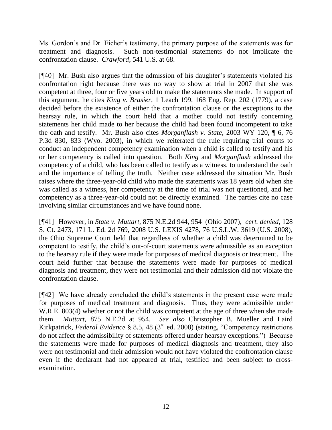Ms. Gordon's and Dr. Eicher's testimony, the primary purpose of the statements was for treatment and diagnosis. Such non-testimonial statements do not implicate the confrontation clause. *Crawford*, 541 U.S. at 68.

[¶40] Mr. Bush also argues that the admission of his daughter's statements violated his confrontation right because there was no way to show at trial in 2007 that she was competent at three, four or five years old to make the statements she made. In support of this argument, he cites *King v. Brasier*, 1 Leach 199, 168 Eng. Rep. 202 (1779), a case decided before the existence of either the confrontation clause or the exceptions to the hearsay rule, in which the court held that a mother could not testify concerning statements her child made to her because the child had been found incompetent to take the oath and testify. Mr. Bush also cites *Morganflash v. State*, 2003 WY 120, ¶ 6, 76 P.3d 830, 833 (Wyo. 2003), in which we reiterated the rule requiring trial courts to conduct an independent competency examination when a child is called to testify and his or her competency is called into question. Both *King* and *Morganflash* addressed the competency of a child, who has been called to testify as a witness, to understand the oath and the importance of telling the truth. Neither case addressed the situation Mr. Bush raises where the three-year-old child who made the statements was 18 years old when she was called as a witness, her competency at the time of trial was not questioned, and her competency as a three-year-old could not be directly examined. The parties cite no case involving similar circumstances and we have found none.

[¶41] However, in *State v. Muttart*, 875 N.E.2d 944, 954 (Ohio 2007), *cert. denied*, 128 S. Ct. 2473, 171 L. Ed. 2d 769, 2008 U.S. LEXIS 4278, 76 U.S.L.W. 3619 (U.S. 2008), the Ohio Supreme Court held that regardless of whether a child was determined to be competent to testify, the child's out-of-court statements were admissible as an exception to the hearsay rule if they were made for purposes of medical diagnosis or treatment. The court held further that because the statements were made for purposes of medical diagnosis and treatment, they were not testimonial and their admission did not violate the confrontation clause.

[¶42] We have already concluded the child's statements in the present case were made for purposes of medical treatment and diagnosis. Thus, they were admissible under W.R.E. 803(4) whether or not the child was competent at the age of three when she made them. *Muttart*, 875 N.E.2d at 954. *See also* Christopher B. Mueller and Laird Kirkpatrick, *Federal Evidence* § 8.5, 48 (3<sup>rd</sup> ed. 2008) (stating, "Competency restrictions do not affect the admissibility of statements offered under hearsay exceptions.") Because the statements were made for purposes of medical diagnosis and treatment, they also were not testimonial and their admission would not have violated the confrontation clause even if the declarant had not appeared at trial, testified and been subject to crossexamination.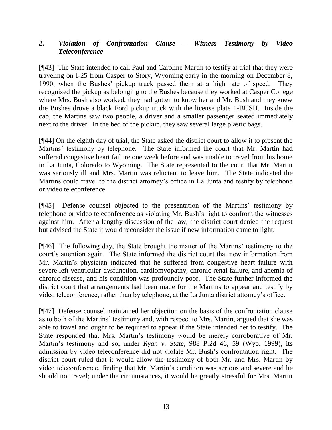## *2. Violation of Confrontation Clause – Witness Testimony by Video Teleconference*

[¶43] The State intended to call Paul and Caroline Martin to testify at trial that they were traveling on I-25 from Casper to Story, Wyoming early in the morning on December 8, 1990, when the Bushes' pickup truck passed them at a high rate of speed. They recognized the pickup as belonging to the Bushes because they worked at Casper College where Mrs. Bush also worked, they had gotten to know her and Mr. Bush and they knew the Bushes drove a black Ford pickup truck with the license plate 1-BUSH. Inside the cab, the Martins saw two people, a driver and a smaller passenger seated immediately next to the driver. In the bed of the pickup, they saw several large plastic bags.

[¶44] On the eighth day of trial, the State asked the district court to allow it to present the Martins' testimony by telephone. The State informed the court that Mr. Martin had suffered congestive heart failure one week before and was unable to travel from his home in La Junta, Colorado to Wyoming. The State represented to the court that Mr. Martin was seriously ill and Mrs. Martin was reluctant to leave him. The State indicated the Martins could travel to the district attorney's office in La Junta and testify by telephone or video teleconference.

[¶45] Defense counsel objected to the presentation of the Martins' testimony by telephone or video teleconference as violating Mr. Bush's right to confront the witnesses against him. After a lengthy discussion of the law, the district court denied the request but advised the State it would reconsider the issue if new information came to light.

[¶46] The following day, the State brought the matter of the Martins' testimony to the court's attention again. The State informed the district court that new information from Mr. Martin's physician indicated that he suffered from congestive heart failure with severe left ventricular dysfunction, cardiomyopathy, chronic renal failure, and anemia of chronic disease, and his condition was profoundly poor. The State further informed the district court that arrangements had been made for the Martins to appear and testify by video teleconference, rather than by telephone, at the La Junta district attorney's office.

[¶47] Defense counsel maintained her objection on the basis of the confrontation clause as to both of the Martins' testimony and, with respect to Mrs. Martin, argued that she was able to travel and ought to be required to appear if the State intended her to testify. The State responded that Mrs. Martin's testimony would be merely corroborative of Mr. Martin's testimony and so, under *Ryan v. State*, 988 P.2d 46, 59 (Wyo. 1999), its admission by video teleconference did not violate Mr. Bush's confrontation right. The district court ruled that it would allow the testimony of both Mr. and Mrs. Martin by video teleconference, finding that Mr. Martin's condition was serious and severe and he should not travel; under the circumstances, it would be greatly stressful for Mrs. Martin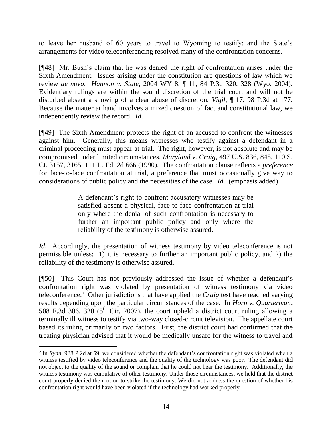to leave her husband of 60 years to travel to Wyoming to testify; and the State's arrangements for video teleconferencing resolved many of the confrontation concerns.

[¶48] Mr. Bush's claim that he was denied the right of confrontation arises under the Sixth Amendment. Issues arising under the constitution are questions of law which we review *de novo*. *Hannon v. State*, 2004 WY 8, ¶ 11, 84 P.3d 320, 328 (Wyo. 2004). Evidentiary rulings are within the sound discretion of the trial court and will not be disturbed absent a showing of a clear abuse of discretion. *Vigil*, ¶ 17, 98 P.3d at 177. Because the matter at hand involves a mixed question of fact and constitutional law, we independently review the record. *Id*.

[¶49] The Sixth Amendment protects the right of an accused to confront the witnesses against him. Generally, this means witnesses who testify against a defendant in a criminal proceeding must appear at trial. The right, however, is not absolute and may be compromised under limited circumstances. *Maryland v. Craig*, 497 U.S. 836, 848, 110 S. Ct. 3157, 3165, 111 L. Ed. 2d 666 (1990). The confrontation clause reflects a *preference* for face-to-face confrontation at trial, a preference that must occasionally give way to considerations of public policy and the necessities of the case*. Id*. (emphasis added).

> A defendant's right to confront accusatory witnesses may be satisfied absent a physical, face-to-face confrontation at trial only where the denial of such confrontation is necessary to further an important public policy and only where the reliability of the testimony is otherwise assured.

*Id.* Accordingly, the presentation of witness testimony by video teleconference is not permissible unless: 1) it is necessary to further an important public policy, and 2) the reliability of the testimony is otherwise assured.

[¶50] This Court has not previously addressed the issue of whether a defendant's confrontation right was violated by presentation of witness testimony via video teleconference.<sup>5</sup> Other jurisdictions that have applied the *Craig* test have reached varying results depending upon the particular circumstances of the case. In *Horn v. Quarterman*, 508 F.3d 306, 320 ( $5<sup>th</sup>$  Cir. 2007), the court upheld a district court ruling allowing a terminally ill witness to testify via two-way closed-circuit television. The appellate court based its ruling primarily on two factors. First, the district court had confirmed that the treating physician advised that it would be medically unsafe for the witness to travel and

 $\overline{a}$  $<sup>5</sup>$  In *Ryan*, 988 P.2d at 59, we considered whether the defendant's confrontation right was violated when a</sup> witness testified by video teleconference and the quality of the technology was poor. The defendant did not object to the quality of the sound or complain that he could not hear the testimony. Additionally, the witness testimony was cumulative of other testimony. Under those circumstances, we held that the district court properly denied the motion to strike the testimony. We did not address the question of whether his confrontation right would have been violated if the technology had worked properly.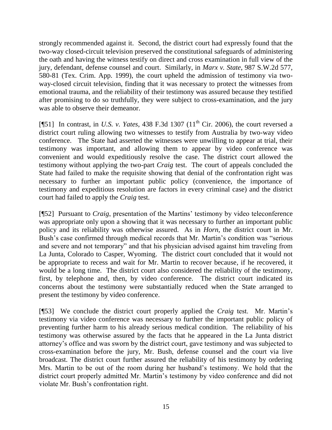strongly recommended against it. Second, the district court had expressly found that the two-way closed-circuit television preserved the constitutional safeguards of administering the oath and having the witness testify on direct and cross examination in full view of the jury, defendant, defense counsel and court. Similarly, in *Marx v. State*, 987 S.W.2d 577, 580-81 (Tex. Crim. App. 1999), the court upheld the admission of testimony via twoway-closed circuit television, finding that it was necessary to protect the witnesses from emotional trauma, and the reliability of their testimony was assured because they testified after promising to do so truthfully, they were subject to cross-examination, and the jury was able to observe their demeanor.

[ $[$ [51] In contrast, in *U.S. v. Yates*, 438 F.3d 1307 (11<sup>th</sup> Cir. 2006), the court reversed a district court ruling allowing two witnesses to testify from Australia by two-way video conference. The State had asserted the witnesses were unwilling to appear at trial, their testimony was important, and allowing them to appear by video conference was convenient and would expeditiously resolve the case. The district court allowed the testimony without applying the two-part *Craig* test. The court of appeals concluded the State had failed to make the requisite showing that denial of the confrontation right was necessary to further an important public policy (convenience, the importance of testimony and expeditious resolution are factors in every criminal case) and the district court had failed to apply the *Craig* test.

[¶52] Pursuant to *Craig*, presentation of the Martins' testimony by video teleconference was appropriate only upon a showing that it was necessary to further an important public policy and its reliability was otherwise assured. As in *Horn*, the district court in Mr. Bush's case confirmed through medical records that Mr. Martin's condition was "serious and severe and not temporary" and that his physician advised against him traveling from La Junta, Colorado to Casper, Wyoming. The district court concluded that it would not be appropriate to recess and wait for Mr. Martin to recover because, if he recovered, it would be a long time. The district court also considered the reliability of the testimony, first, by telephone and, then, by video conference. The district court indicated its concerns about the testimony were substantially reduced when the State arranged to present the testimony by video conference.

[¶53] We conclude the district court properly applied the *Craig* test. Mr. Martin's testimony via video conference was necessary to further the important public policy of preventing further harm to his already serious medical condition. The reliability of his testimony was otherwise assured by the facts that he appeared in the La Junta district attorney's office and was sworn by the district court, gave testimony and was subjected to cross-examination before the jury, Mr. Bush, defense counsel and the court via live broadcast. The district court further assured the reliability of his testimony by ordering Mrs. Martin to be out of the room during her husband's testimony. We hold that the district court properly admitted Mr. Martin's testimony by video conference and did not violate Mr. Bush's confrontation right.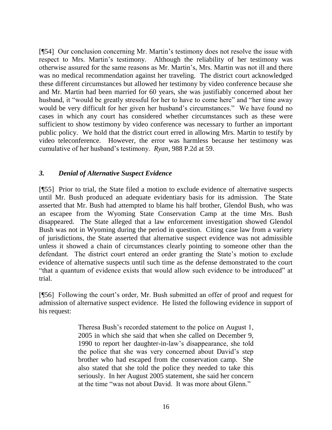[¶54] Our conclusion concerning Mr. Martin's testimony does not resolve the issue with respect to Mrs. Martin's testimony. Although the reliability of her testimony was otherwise assured for the same reasons as Mr. Martin's, Mrs. Martin was not ill and there was no medical recommendation against her traveling. The district court acknowledged these different circumstances but allowed her testimony by video conference because she and Mr. Martin had been married for 60 years, she was justifiably concerned about her husband, it "would be greatly stressful for her to have to come here" and "her time away would be very difficult for her given her husband's circumstances." We have found no cases in which any court has considered whether circumstances such as these were sufficient to show testimony by video conference was necessary to further an important public policy. We hold that the district court erred in allowing Mrs. Martin to testify by video teleconference. However, the error was harmless because her testimony was cumulative of her husband's testimony. *Ryan*, 988 P.2d at 59.

## *3. Denial of Alternative Suspect Evidence*

[¶55] Prior to trial, the State filed a motion to exclude evidence of alternative suspects until Mr. Bush produced an adequate evidentiary basis for its admission. The State asserted that Mr. Bush had attempted to blame his half brother, Glendol Bush, who was an escapee from the Wyoming State Conservation Camp at the time Mrs. Bush disappeared. The State alleged that a law enforcement investigation showed Glendol Bush was not in Wyoming during the period in question. Citing case law from a variety of jurisdictions, the State asserted that alternative suspect evidence was not admissible unless it showed a chain of circumstances clearly pointing to someone other than the defendant. The district court entered an order granting the State's motion to exclude evidence of alternative suspects until such time as the defense demonstrated to the court "that a quantum of evidence exists that would allow such evidence to be introduced" at trial.

[¶56] Following the court's order, Mr. Bush submitted an offer of proof and request for admission of alternative suspect evidence. He listed the following evidence in support of his request:

> Theresa Bush's recorded statement to the police on August 1, 2005 in which she said that when she called on December 9, 1990 to report her daughter-in-law's disappearance, she told the police that she was very concerned about David's step brother who had escaped from the conservation camp. She also stated that she told the police they needed to take this seriously. In her August 2005 statement, she said her concern at the time "was not about David. It was more about Glenn."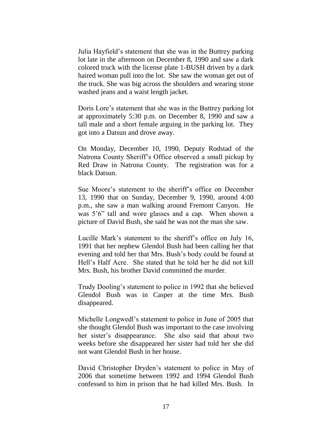Julia Hayfield's statement that she was in the Buttrey parking lot late in the afternoon on December 8, 1990 and saw a dark colored truck with the license plate 1-BUSH driven by a dark haired woman pull into the lot. She saw the woman get out of the truck. She was big across the shoulders and wearing stone washed jeans and a waist length jacket.

Doris Lore's statement that she was in the Buttrey parking lot at approximately 5:30 p.m. on December 8, 1990 and saw a tall male and a short female arguing in the parking lot. They got into a Datsun and drove away.

On Monday, December 10, 1990, Deputy Rodstad of the Natrona County Sheriff's Office observed a small pickup by Red Draw in Natrona County. The registration was for a black Datsun.

Sue Moore's statement to the sheriff's office on December 13, 1990 that on Sunday, December 9, 1990, around 4:00 p.m., she saw a man walking around Fremont Canyon. He was  $5^{\circ}6^{\prime\prime}$  tall and wore glasses and a cap. When shown a picture of David Bush, she said he was not the man she saw.

Lucille Mark's statement to the sheriff's office on July 16, 1991 that her nephew Glendol Bush had been calling her that evening and told her that Mrs. Bush's body could be found at Hell's Half Acre. She stated that he told her he did not kill Mrs. Bush, his brother David committed the murder.

Trudy Dooling's statement to police in 1992 that she believed Glendol Bush was in Casper at the time Mrs. Bush disappeared.

Michelle Longwedl's statement to police in June of 2005 that she thought Glendol Bush was important to the case involving her sister's disappearance. She also said that about two weeks before she disappeared her sister had told her she did not want Glendol Bush in her house.

David Christopher Dryden's statement to police in May of 2006 that sometime between 1992 and 1994 Glendol Bush confessed to him in prison that he had killed Mrs. Bush. In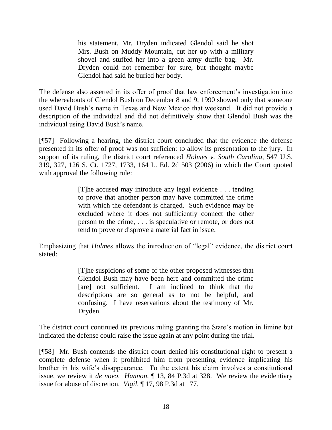his statement, Mr. Dryden indicated Glendol said he shot Mrs. Bush on Muddy Mountain, cut her up with a military shovel and stuffed her into a green army duffle bag. Mr. Dryden could not remember for sure, but thought maybe Glendol had said he buried her body.

The defense also asserted in its offer of proof that law enforcement's investigation into the whereabouts of Glendol Bush on December 8 and 9, 1990 showed only that someone used David Bush's name in Texas and New Mexico that weekend. It did not provide a description of the individual and did not definitively show that Glendol Bush was the individual using David Bush's name.

[¶57] Following a hearing, the district court concluded that the evidence the defense presented in its offer of proof was not sufficient to allow its presentation to the jury. In support of its ruling, the district court referenced *Holmes v. South Carolina*, 547 U.S. 319, 327, 126 S. Ct. 1727, 1733, 164 L. Ed. 2d 503 (2006) in which the Court quoted with approval the following rule:

> [T]he accused may introduce any legal evidence . . . tending to prove that another person may have committed the crime with which the defendant is charged. Such evidence may be excluded where it does not sufficiently connect the other person to the crime, . . . is speculative or remote, or does not tend to prove or disprove a material fact in issue.

Emphasizing that *Holmes* allows the introduction of "legal" evidence, the district court stated:

> [T]he suspicions of some of the other proposed witnesses that Glendol Bush may have been here and committed the crime [are] not sufficient. I am inclined to think that the descriptions are so general as to not be helpful, and confusing. I have reservations about the testimony of Mr. Dryden.

The district court continued its previous ruling granting the State's motion in limine but indicated the defense could raise the issue again at any point during the trial.

[¶58] Mr. Bush contends the district court denied his constitutional right to present a complete defense when it prohibited him from presenting evidence implicating his brother in his wife's disappearance. To the extent his claim involves a constitutional issue, we review it *de novo*. *Hannon*, ¶ 13, 84 P.3d at 328. We review the evidentiary issue for abuse of discretion. *Vigil*, ¶ 17, 98 P.3d at 177.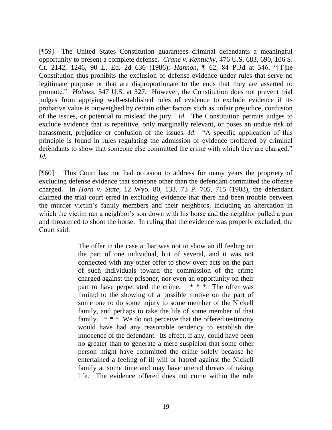[¶59] The United States Constitution guarantees criminal defendants a meaningful opportunity to present a complete defense. *Crane v. Kentucky*, 476 U.S. 683, 690, 106 S. Ct. 2142, 1246, 90 L. Ed. 2d 636 (1986); *Hannon*, ¶ 62, 84 P.3d at 346. "[T]he Constitution thus prohibits the exclusion of defense evidence under rules that serve no legitimate purpose or that are disproportionate to the ends that they are asserted to promote.‖ *Holmes*, 547 U.S. at 327. However, the Constitution does not prevent trial judges from applying well-established rules of evidence to exclude evidence if its probative value is outweighed by certain other factors such as unfair prejudice, confusion of the issues, or potential to mislead the jury. *Id*. The Constitution permits judges to exclude evidence that is repetitive, only marginally relevant, or poses an undue risk of harassment, prejudice or confusion of the issues. *Id.* "A specific application of this principle is found in rules regulating the admission of evidence proffered by criminal defendants to show that someone else committed the crime with which they are charged." *Id.*

[¶60] This Court has not had occasion to address for many years the propriety of excluding defense evidence that someone other than the defendant committed the offense charged. In *Horn v. State*, 12 Wyo. 80, 133, 73 P. 705, 715 (1903), the defendant claimed the trial court erred in excluding evidence that there had been trouble between the murder victim's family members and their neighbors, including an altercation in which the victim ran a neighbor's son down with his horse and the neighbor pulled a gun and threatened to shoot the horse. In ruling that the evidence was properly excluded, the Court said:

> The offer in the case at bar was not to show an ill feeling on the part of one individual, but of several, and it was not connected with any other offer to show overt acts on the part of such individuals toward the commission of the crime charged against the prisoner, nor even an opportunity on their part to have perpetrated the crime.  $* * *$  The offer was limited to the showing of a possible motive on the part of some one to do some injury to some member of the Nickell family, and perhaps to take the life of some member of that family.  $***$  We do not perceive that the offered testimony would have had any reasonable tendency to establish the innocence of the defendant. Its effect, if any, could have been no greater than to generate a mere suspicion that some other person might have committed the crime solely because he entertained a feeling of ill will or hatred against the Nickell family at some time and may have uttered threats of taking life. The evidence offered does not come within the rule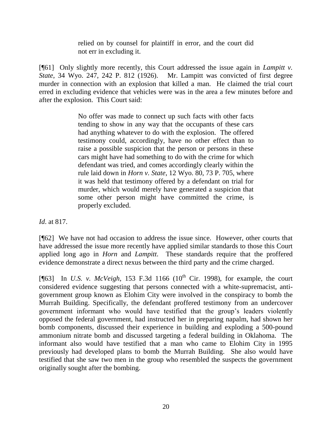relied on by counsel for plaintiff in error, and the court did not err in excluding it.

[¶61] Only slightly more recently, this Court addressed the issue again in *Lampitt v. State*, 34 Wyo. 247, 242 P. 812 (1926). Mr. Lampitt was convicted of first degree murder in connection with an explosion that killed a man. He claimed the trial court erred in excluding evidence that vehicles were was in the area a few minutes before and after the explosion. This Court said:

> No offer was made to connect up such facts with other facts tending to show in any way that the occupants of these cars had anything whatever to do with the explosion. The offered testimony could, accordingly, have no other effect than to raise a possible suspicion that the person or persons in these cars might have had something to do with the crime for which defendant was tried, and comes accordingly clearly within the rule laid down in *Horn v. State*, 12 Wyo. 80, 73 P. 705, where it was held that testimony offered by a defendant on trial for murder, which would merely have generated a suspicion that some other person might have committed the crime, is properly excluded.

*Id*. at 817.

[¶62] We have not had occasion to address the issue since. However, other courts that have addressed the issue more recently have applied similar standards to those this Court applied long ago in *Horn* and *Lampitt*. These standards require that the proffered evidence demonstrate a direct nexus between the third party and the crime charged.

[ $[$ 63] In *U.S. v. McVeigh*, 153 F.3d 1166 (10<sup>th</sup> Cir. 1998), for example, the court considered evidence suggesting that persons connected with a white-supremacist, antigovernment group known as Elohim City were involved in the conspiracy to bomb the Murrah Building. Specifically, the defendant proffered testimony from an undercover government informant who would have testified that the group's leaders violently opposed the federal government, had instructed her in preparing napalm, had shown her bomb components, discussed their experience in building and exploding a 500-pound ammonium nitrate bomb and discussed targeting a federal building in Oklahoma. The informant also would have testified that a man who came to Elohim City in 1995 previously had developed plans to bomb the Murrah Building. She also would have testified that she saw two men in the group who resembled the suspects the government originally sought after the bombing.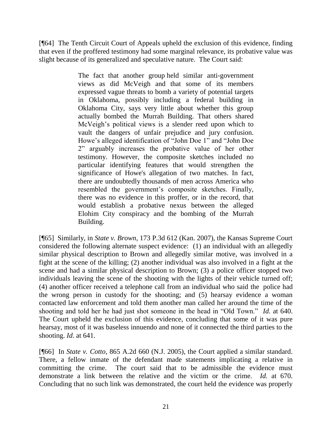[¶64] The Tenth Circuit Court of Appeals upheld the exclusion of this evidence, finding that even if the proffered testimony had some marginal relevance, its probative value was slight because of its generalized and speculative nature. The Court said:

> The fact that another group held similar anti-government views as did McVeigh and that some of its members expressed vague threats to bomb a variety of potential targets in Oklahoma, possibly including a federal building in Oklahoma City, says very little about whether this group actually bombed the Murrah Building. That others shared McVeigh's political views is a slender reed upon which to vault the dangers of unfair prejudice and jury confusion. Howe's alleged identification of "John Doe 1" and "John Doe 2‖ arguably increases the probative value of her other testimony. However, the composite sketches included no particular identifying features that would strengthen the significance of Howe's allegation of two matches. In fact, there are undoubtedly thousands of men across America who resembled the government's composite sketches. Finally, there was no evidence in this proffer, or in the record, that would establish a probative nexus between the alleged Elohim City conspiracy and the bombing of the Murrah Building.

[¶65] Similarly, in *State v. Brown*, 173 P.3d 612 (Kan. 2007), the Kansas Supreme Court considered the following alternate suspect evidence: (1) an individual with an allegedly similar physical description to Brown and allegedly similar motive, was involved in a fight at the scene of the killing; (2) another individual was also involved in a fight at the scene and had a similar physical description to Brown; (3) a police officer stopped two individuals leaving the scene of the shooting with the lights of their vehicle turned off; (4) another officer received a telephone call from an individual who said the police had the wrong person in custody for the shooting; and (5) hearsay evidence a woman contacted law enforcement and told them another man called her around the time of the shooting and told her he had just shot someone in the head in "Old Town." *Id.* at 640. The Court upheld the exclusion of this evidence, concluding that some of it was pure hearsay, most of it was baseless innuendo and none of it connected the third parties to the shooting. *Id*. at 641.

[¶66] In *State v. Cotto*, 865 A.2d 660 (N.J. 2005), the Court applied a similar standard. There, a fellow inmate of the defendant made statements implicating a relative in committing the crime. The court said that to be admissible the evidence must demonstrate a link between the relative and the victim or the crime. *Id.* at 670. Concluding that no such link was demonstrated, the court held the evidence was properly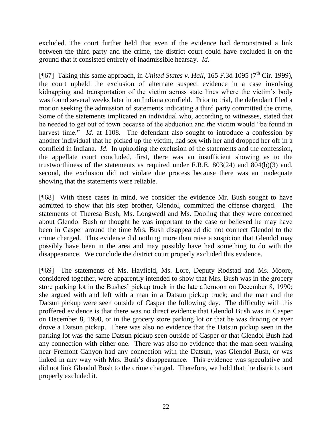excluded. The court further held that even if the evidence had demonstrated a link between the third party and the crime, the district court could have excluded it on the ground that it consisted entirely of inadmissible hearsay. *Id*.

[¶67] Taking this same approach, in *United States v. Hall*, 165 F.3d 1095 (7<sup>th</sup> Cir. 1999), the court upheld the exclusion of alternate suspect evidence in a case involving kidnapping and transportation of the victim across state lines where the victim's body was found several weeks later in an Indiana cornfield. Prior to trial, the defendant filed a motion seeking the admission of statements indicating a third party committed the crime. Some of the statements implicated an individual who, according to witnesses, stated that he needed to get out of town because of the abduction and the victim would "be found in harvest time." *Id.* at 1108. The defendant also sought to introduce a confession by another individual that he picked up the victim, had sex with her and dropped her off in a cornfield in Indiana. *Id*. In upholding the exclusion of the statements and the confession, the appellate court concluded, first, there was an insufficient showing as to the trustworthiness of the statements as required under F.R.E. 803(24) and 804(b)(3) and, second, the exclusion did not violate due process because there was an inadequate showing that the statements were reliable.

[¶68] With these cases in mind, we consider the evidence Mr. Bush sought to have admitted to show that his step brother, Glendol, committed the offense charged. The statements of Theresa Bush, Ms. Longwedl and Ms. Dooling that they were concerned about Glendol Bush or thought he was important to the case or believed he may have been in Casper around the time Mrs. Bush disappeared did not connect Glendol to the crime charged. This evidence did nothing more than raise a suspicion that Glendol may possibly have been in the area and may possibly have had something to do with the disappearance. We conclude the district court properly excluded this evidence.

[¶69] The statements of Ms. Hayfield, Ms. Lore, Deputy Rodstad and Ms. Moore, considered together, were apparently intended to show that Mrs. Bush was in the grocery store parking lot in the Bushes' pickup truck in the late afternoon on December 8, 1990; she argued with and left with a man in a Datsun pickup truck; and the man and the Datsun pickup were seen outside of Casper the following day. The difficulty with this proffered evidence is that there was no direct evidence that Glendol Bush was in Casper on December 8, 1990, or in the grocery store parking lot or that he was driving or ever drove a Datsun pickup. There was also no evidence that the Datsun pickup seen in the parking lot was the same Datsun pickup seen outside of Casper or that Glendol Bush had any connection with either one. There was also no evidence that the man seen walking near Fremont Canyon had any connection with the Datsun, was Glendol Bush, or was linked in any way with Mrs. Bush's disappearance. This evidence was speculative and did not link Glendol Bush to the crime charged. Therefore, we hold that the district court properly excluded it.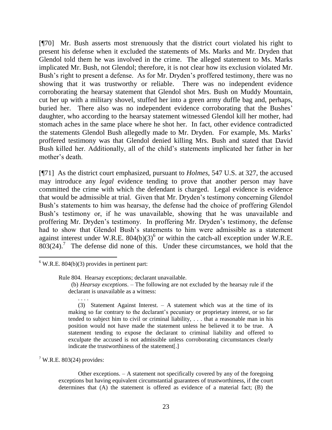[¶70] Mr. Bush asserts most strenuously that the district court violated his right to present his defense when it excluded the statements of Ms. Marks and Mr. Dryden that Glendol told them he was involved in the crime. The alleged statement to Ms. Marks implicated Mr. Bush, not Glendol; therefore, it is not clear how its exclusion violated Mr. Bush's right to present a defense. As for Mr. Dryden's proffered testimony, there was no showing that it was trustworthy or reliable. There was no independent evidence corroborating the hearsay statement that Glendol shot Mrs. Bush on Muddy Mountain, cut her up with a military shovel, stuffed her into a green army duffle bag and, perhaps, buried her. There also was no independent evidence corroborating that the Bushes' daughter, who according to the hearsay statement witnessed Glendol kill her mother, had stomach aches in the same place where he shot her. In fact, other evidence contradicted the statements Glendol Bush allegedly made to Mr. Dryden. For example, Ms. Marks' proffered testimony was that Glendol denied killing Mrs. Bush and stated that David Bush killed her. Additionally, all of the child's statements implicated her father in her mother's death.

[¶71] As the district court emphasized, pursuant to *Holmes*, 547 U.S. at 327, the accused may introduce any *legal* evidence tending to prove that another person may have committed the crime with which the defendant is charged. Legal evidence is evidence that would be admissible at trial. Given that Mr. Dryden's testimony concerning Glendol Bush's statements to him was hearsay, the defense had the choice of proffering Glendol Bush's testimony or, if he was unavailable, showing that he was unavailable and proffering Mr. Dryden's testimony. In proffering Mr. Dryden's testimony, the defense had to show that Glendol Bush's statements to him were admissible as a statement against interest under W.R.E.  $804(b)(3)^6$  or within the catch-all exception under W.R.E.  $803(24)$ .<sup>7</sup> The defense did none of this. Under these circumstances, we hold that the

. . . .

Rule 804. Hearsay exceptions; declarant unavailable.

(3) Statement Against Interest. – A statement which was at the time of its making so far contrary to the declarant's pecuniary or proprietary interest, or so far tended to subject him to civil or criminal liability, . . . that a reasonable man in his position would not have made the statement unless he believed it to be true. A statement tending to expose the declarant to criminal liability and offered to exculpate the accused is not admissible unless corroborating circumstances clearly indicate the trustworthiness of the statement[.]

 $7$  W.R.E. 803(24) provides:

Other exceptions. – A statement not specifically covered by any of the foregoing exceptions but having equivalent circumstantial guarantees of trustworthiness, if the court determines that (A) the statement is offered as evidence of a material fact; (B) the

 $6$  W.R.E. 804(b)(3) provides in pertinent part:

 <sup>(</sup>b) *Hearsay exceptions*. – The following are not excluded by the hearsay rule if the declarant is unavailable as a witness: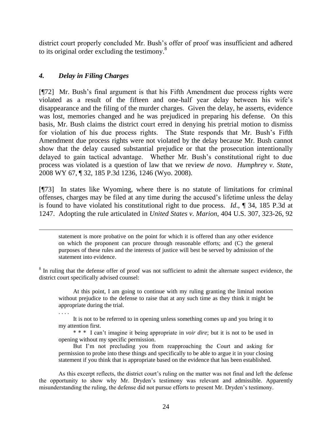district court properly concluded Mr. Bush's offer of proof was insufficient and adhered to its original order excluding the testimony. $8$ 

### *4. Delay in Filing Charges*

[¶72] Mr. Bush's final argument is that his Fifth Amendment due process rights were violated as a result of the fifteen and one-half year delay between his wife's disappearance and the filing of the murder charges. Given the delay, he asserts, evidence was lost, memories changed and he was prejudiced in preparing his defense. On this basis, Mr. Bush claims the district court erred in denying his pretrial motion to dismiss for violation of his due process rights. The State responds that Mr. Bush's Fifth Amendment due process rights were not violated by the delay because Mr. Bush cannot show that the delay caused substantial prejudice or that the prosecution intentionally delayed to gain tactical advantage. Whether Mr. Bush's constitutional right to due process was violated is a question of law that we review *de novo*. *Humphrey v. State*, 2008 WY 67, ¶ 32, 185 P.3d 1236, 1246 (Wyo. 2008).

[¶73] In states like Wyoming, where there is no statute of limitations for criminal offenses, charges may be filed at any time during the accused's lifetime unless the delay is found to have violated his constitutional right to due process. *Id*., ¶ 34, 185 P.3d at 1247. Adopting the rule articulated in *United States v. Marion*, 404 U.S. 307, 323-26, 92

statement is more probative on the point for which it is offered than any other evidence on which the proponent can procure through reasonable efforts; and (C) the general purposes of these rules and the interests of justice will best be served by admission of the statement into evidence.

<sup>8</sup> In ruling that the defense offer of proof was not sufficient to admit the alternate suspect evidence, the district court specifically advised counsel:

At this point, I am going to continue with my ruling granting the liminal motion without prejudice to the defense to raise that at any such time as they think it might be appropriate during the trial.

. . . .

It is not to be referred to in opening unless something comes up and you bring it to my attention first.

\* \* \* I can't imagine it being appropriate in *voir dire*; but it is not to be used in opening without my specific permission.

But I'm not precluding you from reapproaching the Court and asking for permission to probe into these things and specifically to be able to argue it in your closing statement if you think that is appropriate based on the evidence that has been established.

As this excerpt reflects, the district court's ruling on the matter was not final and left the defense the opportunity to show why Mr. Dryden's testimony was relevant and admissible. Apparently misunderstanding the ruling, the defense did not pursue efforts to present Mr. Dryden's testimony.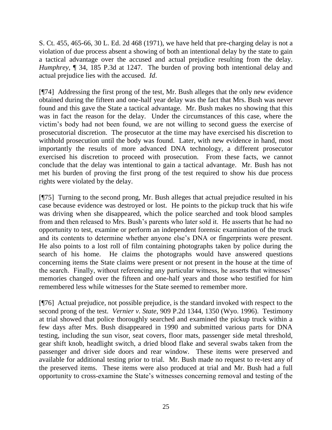S. Ct. 455, 465-66, 30 L. Ed. 2d 468 (1971), we have held that pre-charging delay is not a violation of due process absent a showing of both an intentional delay by the state to gain a tactical advantage over the accused and actual prejudice resulting from the delay. *Humphrey*, ¶ 34, 185 P.3d at 1247. The burden of proving both intentional delay and actual prejudice lies with the accused. *Id*.

[¶74] Addressing the first prong of the test, Mr. Bush alleges that the only new evidence obtained during the fifteen and one-half year delay was the fact that Mrs. Bush was never found and this gave the State a tactical advantage. Mr. Bush makes no showing that this was in fact the reason for the delay. Under the circumstances of this case, where the victim's body had not been found, we are not willing to second guess the exercise of prosecutorial discretion. The prosecutor at the time may have exercised his discretion to withhold prosecution until the body was found. Later, with new evidence in hand, most importantly the results of more advanced DNA technology, a different prosecutor exercised his discretion to proceed with prosecution. From these facts, we cannot conclude that the delay was intentional to gain a tactical advantage. Mr. Bush has not met his burden of proving the first prong of the test required to show his due process rights were violated by the delay.

[¶75] Turning to the second prong, Mr. Bush alleges that actual prejudice resulted in his case because evidence was destroyed or lost. He points to the pickup truck that his wife was driving when she disappeared, which the police searched and took blood samples from and then released to Mrs. Bush's parents who later sold it. He asserts that he had no opportunity to test, examine or perform an independent forensic examination of the truck and its contents to determine whether anyone else's DNA or fingerprints were present. He also points to a lost roll of film containing photographs taken by police during the search of his home. He claims the photographs would have answered questions concerning items the State claims were present or not present in the house at the time of the search. Finally, without referencing any particular witness, he asserts that witnesses' memories changed over the fifteen and one-half years and those who testified for him remembered less while witnesses for the State seemed to remember more.

[¶76] Actual prejudice, not possible prejudice, is the standard invoked with respect to the second prong of the test. *Vernier v. State*, 909 P.2d 1344, 1350 (Wyo. 1996). Testimony at trial showed that police thoroughly searched and examined the pickup truck within a few days after Mrs. Bush disappeared in 1990 and submitted various parts for DNA testing, including the sun visor, seat covers, floor mats, passenger side metal threshold, gear shift knob, headlight switch, a dried blood flake and several swabs taken from the passenger and driver side doors and rear window. These items were preserved and available for additional testing prior to trial. Mr. Bush made no request to re-test any of the preserved items. These items were also produced at trial and Mr. Bush had a full opportunity to cross-examine the State's witnesses concerning removal and testing of the